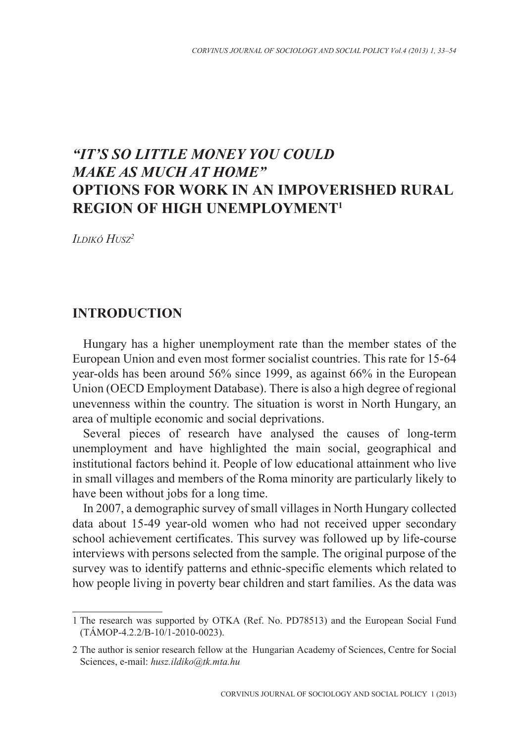# *"IT'S SO LITTLE MONEY YOU COULD MAKE AS MUCH AT HOME"* **OPTIONS FOR WORK IN AN IMPOVERISHED RURAL REGION OF HIGH UNEMPLOYMENT1**

*Ildikó Husz2*

### **INTRODUCTION**

Hungary has a higher unemployment rate than the member states of the European Union and even most former socialist countries. This rate for 15-64 year-olds has been around 56% since 1999, as against 66% in the European Union (OECD Employment Database). There is also a high degree of regional unevenness within the country. The situation is worst in North Hungary, an area of multiple economic and social deprivations.

Several pieces of research have analysed the causes of long-term unemployment and have highlighted the main social, geographical and institutional factors behind it. People of low educational attainment who live in small villages and members of the Roma minority are particularly likely to have been without jobs for a long time.

In 2007, a demographic survey of small villages in North Hungary collected data about 15-49 year-old women who had not received upper secondary school achievement certificates. This survey was followed up by life-course interviews with persons selected from the sample. The original purpose of the survey was to identify patterns and ethnic-specific elements which related to how people living in poverty bear children and start families. As the data was

<sup>1</sup> The research was supported by OTKA (Ref. No. PD78513) and the European Social Fund (TÁMOP-4.2.2/B-10/1-2010-0023).

<sup>2</sup> The author is senior research fellow at the Hungarian Academy of Sciences, Centre for Social Sciences, e-mail: *husz.ildiko@tk.mta.hu*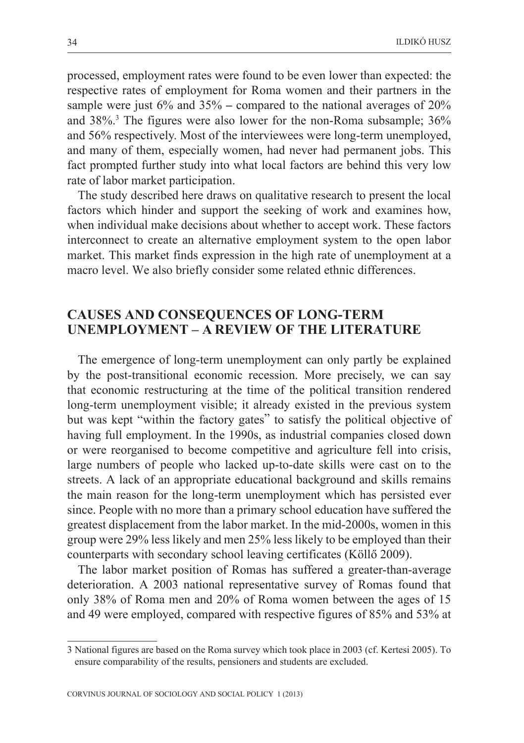processed, employment rates were found to be even lower than expected: the respective rates of employment for Roma women and their partners in the sample were just  $6\%$  and  $35\%$  – compared to the national averages of  $20\%$ and 38%.<sup>3</sup> The figures were also lower for the non-Roma subsample; 36% and 56% respectively. Most of the interviewees were long-term unemployed, and many of them, especially women, had never had permanent jobs. This fact prompted further study into what local factors are behind this very low rate of labor market participation.

The study described here draws on qualitative research to present the local factors which hinder and support the seeking of work and examines how, when individual make decisions about whether to accept work. These factors interconnect to create an alternative employment system to the open labor market. This market finds expression in the high rate of unemployment at a macro level. We also briefly consider some related ethnic differences.

## **CAUSES AND CONSEQUENCES OF LONG-TERM UNEMPLOYMENT – A REVIEW OF THE LITERATURE**

The emergence of long-term unemployment can only partly be explained by the post-transitional economic recession. More precisely, we can say that economic restructuring at the time of the political transition rendered long-term unemployment visible; it already existed in the previous system but was kept "within the factory gates" to satisfy the political objective of having full employment. In the 1990s, as industrial companies closed down or were reorganised to become competitive and agriculture fell into crisis, large numbers of people who lacked up-to-date skills were cast on to the streets. A lack of an appropriate educational background and skills remains the main reason for the long-term unemployment which has persisted ever since. People with no more than a primary school education have suffered the greatest displacement from the labor market. In the mid-2000s, women in this group were 29% less likely and men 25% less likely to be employed than their counterparts with secondary school leaving certificates (Köllõ 2009).

The labor market position of Romas has suffered a greater-than-average deterioration. A 2003 national representative survey of Romas found that only 38% of Roma men and 20% of Roma women between the ages of 15 and 49 were employed, compared with respective figures of 85% and 53% at

<sup>3</sup> National figures are based on the Roma survey which took place in 2003 (cf. Kertesi 2005). To ensure comparability of the results, pensioners and students are excluded.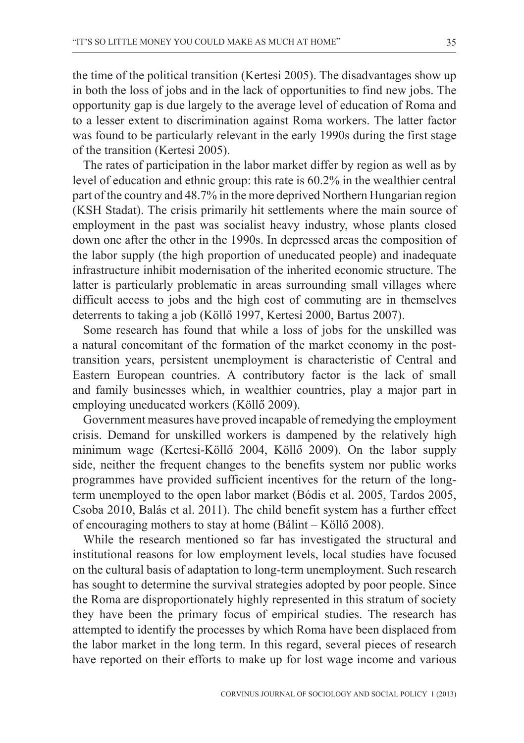the time of the political transition (Kertesi 2005). The disadvantages show up in both the loss of jobs and in the lack of opportunities to find new jobs. The opportunity gap is due largely to the average level of education of Roma and to a lesser extent to discrimination against Roma workers. The latter factor was found to be particularly relevant in the early 1990s during the first stage of the transition (Kertesi 2005).

The rates of participation in the labor market differ by region as well as by level of education and ethnic group: this rate is 60.2% in the wealthier central part of the country and 48.7% in the more deprived Northern Hungarian region (KSH Stadat). The crisis primarily hit settlements where the main source of employment in the past was socialist heavy industry, whose plants closed down one after the other in the 1990s. In depressed areas the composition of the labor supply (the high proportion of uneducated people) and inadequate infrastructure inhibit modernisation of the inherited economic structure. The latter is particularly problematic in areas surrounding small villages where difficult access to jobs and the high cost of commuting are in themselves deterrents to taking a job (Köllõ 1997, Kertesi 2000, Bartus 2007).

Some research has found that while a loss of jobs for the unskilled was a natural concomitant of the formation of the market economy in the posttransition years, persistent unemployment is characteristic of Central and Eastern European countries. A contributory factor is the lack of small and family businesses which, in wealthier countries, play a major part in employing uneducated workers (Köllõ 2009).

Government measures have proved incapable of remedying the employment crisis. Demand for unskilled workers is dampened by the relatively high minimum wage (Kertesi-Köllõ 2004, Köllõ 2009). On the labor supply side, neither the frequent changes to the benefits system nor public works programmes have provided sufficient incentives for the return of the longterm unemployed to the open labor market (Bódis et al. 2005, Tardos 2005, Csoba 2010, Balás et al. 2011). The child benefit system has a further effect of encouraging mothers to stay at home (Bálint – Köllõ 2008).

While the research mentioned so far has investigated the structural and institutional reasons for low employment levels, local studies have focused on the cultural basis of adaptation to long-term unemployment. Such research has sought to determine the survival strategies adopted by poor people. Since the Roma are disproportionately highly represented in this stratum of society they have been the primary focus of empirical studies. The research has attempted to identify the processes by which Roma have been displaced from the labor market in the long term. In this regard, several pieces of research have reported on their efforts to make up for lost wage income and various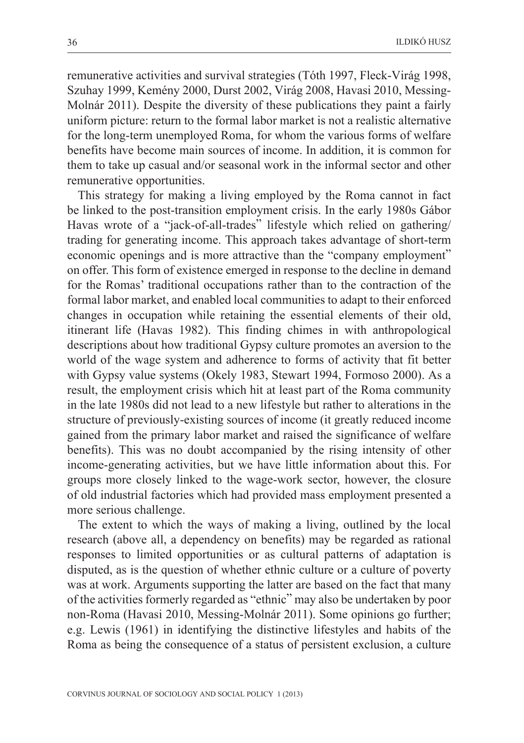remunerative activities and survival strategies (Tóth 1997, Fleck-Virág 1998, Szuhay 1999, Kemény 2000, Durst 2002, Virág 2008, Havasi 2010, Messing-Molnár 2011). Despite the diversity of these publications they paint a fairly uniform picture: return to the formal labor market is not a realistic alternative for the long-term unemployed Roma, for whom the various forms of welfare benefits have become main sources of income. In addition, it is common for them to take up casual and/or seasonal work in the informal sector and other remunerative opportunities.

This strategy for making a living employed by the Roma cannot in fact be linked to the post-transition employment crisis. In the early 1980s Gábor Havas wrote of a "jack-of-all-trades" lifestyle which relied on gathering/ trading for generating income. This approach takes advantage of short-term economic openings and is more attractive than the "company employment" on offer. This form of existence emerged in response to the decline in demand for the Romas' traditional occupations rather than to the contraction of the formal labor market, and enabled local communities to adapt to their enforced changes in occupation while retaining the essential elements of their old, itinerant life (Havas 1982). This finding chimes in with anthropological descriptions about how traditional Gypsy culture promotes an aversion to the world of the wage system and adherence to forms of activity that fit better with Gypsy value systems (Okely 1983, Stewart 1994, Formoso 2000). As a result, the employment crisis which hit at least part of the Roma community in the late 1980s did not lead to a new lifestyle but rather to alterations in the structure of previously-existing sources of income (it greatly reduced income gained from the primary labor market and raised the significance of welfare benefits). This was no doubt accompanied by the rising intensity of other income-generating activities, but we have little information about this. For groups more closely linked to the wage-work sector, however, the closure of old industrial factories which had provided mass employment presented a more serious challenge.

The extent to which the ways of making a living, outlined by the local research (above all, a dependency on benefits) may be regarded as rational responses to limited opportunities or as cultural patterns of adaptation is disputed, as is the question of whether ethnic culture or a culture of poverty was at work. Arguments supporting the latter are based on the fact that many of the activities formerly regarded as "ethnic" may also be undertaken by poor non-Roma (Havasi 2010, Messing-Molnár 2011). Some opinions go further; e.g. Lewis (1961) in identifying the distinctive lifestyles and habits of the Roma as being the consequence of a status of persistent exclusion, a culture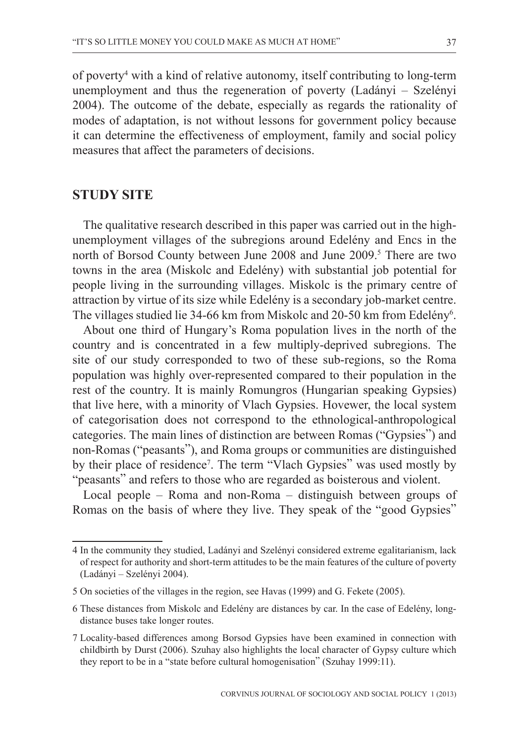of poverty4 with a kind of relative autonomy, itself contributing to long-term unemployment and thus the regeneration of poverty (Ladányi – Szelényi 2004). The outcome of the debate, especially as regards the rationality of modes of adaptation, is not without lessons for government policy because it can determine the effectiveness of employment, family and social policy measures that affect the parameters of decisions.

#### **STUDY SITE**

The qualitative research described in this paper was carried out in the highunemployment villages of the subregions around Edelény and Encs in the north of Borsod County between June 2008 and June 2009.<sup>5</sup> There are two towns in the area (Miskolc and Edelény) with substantial job potential for people living in the surrounding villages. Miskolc is the primary centre of attraction by virtue of its size while Edelény is a secondary job-market centre. The villages studied lie 34-66 km from Miskolc and 20-50 km from Edelény<sup>6</sup>.

About one third of Hungary's Roma population lives in the north of the country and is concentrated in a few multiply-deprived subregions. The site of our study corresponded to two of these sub-regions, so the Roma population was highly over-represented compared to their population in the rest of the country. It is mainly Romungros (Hungarian speaking Gypsies) that live here, with a minority of Vlach Gypsies. Hovewer, the local system of categorisation does not correspond to the ethnological-anthropological categories. The main lines of distinction are between Romas ("Gypsies") and non-Romas ("peasants"), and Roma groups or communities are distinguished by their place of residence<sup>7</sup>. The term "Vlach Gypsies" was used mostly by "peasants" and refers to those who are regarded as boisterous and violent.

Local people – Roma and non-Roma – distinguish between groups of Romas on the basis of where they live. They speak of the "good Gypsies"

<sup>4</sup> In the community they studied, Ladányi and Szelényi considered extreme egalitarianism, lack of respect for authority and short-term attitudes to be the main features of the culture of poverty (Ladányi – Szelényi 2004).

<sup>5</sup> On societies of the villages in the region, see Havas (1999) and G. Fekete (2005).

<sup>6</sup> These distances from Miskolc and Edelény are distances by car. In the case of Edelény, longdistance buses take longer routes.

<sup>7</sup> Locality-based differences among Borsod Gypsies have been examined in connection with childbirth by Durst (2006). Szuhay also highlights the local character of Gypsy culture which they report to be in a "state before cultural homogenisation" (Szuhay 1999:11).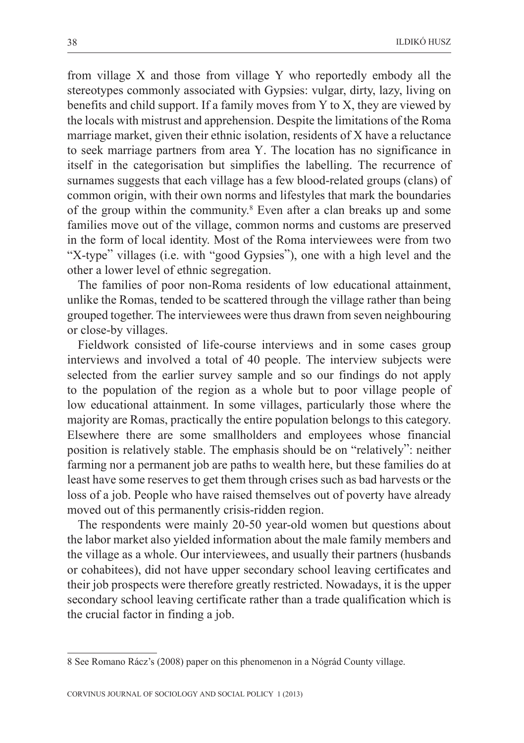from village X and those from village Y who reportedly embody all the stereotypes commonly associated with Gypsies: vulgar, dirty, lazy, living on benefits and child support. If a family moves from Y to X, they are viewed by the locals with mistrust and apprehension. Despite the limitations of the Roma marriage market, given their ethnic isolation, residents of X have a reluctance to seek marriage partners from area Y. The location has no significance in itself in the categorisation but simplifies the labelling. The recurrence of surnames suggests that each village has a few blood-related groups (clans) of common origin, with their own norms and lifestyles that mark the boundaries of the group within the community.<sup>8</sup> Even after a clan breaks up and some families move out of the village, common norms and customs are preserved in the form of local identity. Most of the Roma interviewees were from two "X-type" villages (i.e. with "good Gypsies"), one with a high level and the other a lower level of ethnic segregation.

The families of poor non-Roma residents of low educational attainment, unlike the Romas, tended to be scattered through the village rather than being grouped together. The interviewees were thus drawn from seven neighbouring or close-by villages.

Fieldwork consisted of life-course interviews and in some cases group interviews and involved a total of 40 people. The interview subjects were selected from the earlier survey sample and so our findings do not apply to the population of the region as a whole but to poor village people of low educational attainment. In some villages, particularly those where the majority are Romas, practically the entire population belongs to this category. Elsewhere there are some smallholders and employees whose financial position is relatively stable. The emphasis should be on "relatively": neither farming nor a permanent job are paths to wealth here, but these families do at least have some reserves to get them through crises such as bad harvests or the loss of a job. People who have raised themselves out of poverty have already moved out of this permanently crisis-ridden region.

The respondents were mainly 20-50 year-old women but questions about the labor market also yielded information about the male family members and the village as a whole. Our interviewees, and usually their partners (husbands or cohabitees), did not have upper secondary school leaving certificates and their job prospects were therefore greatly restricted. Nowadays, it is the upper secondary school leaving certificate rather than a trade qualification which is the crucial factor in finding a job.

<sup>8</sup> See Romano Rácz's (2008) paper on this phenomenon in a Nógrád County village.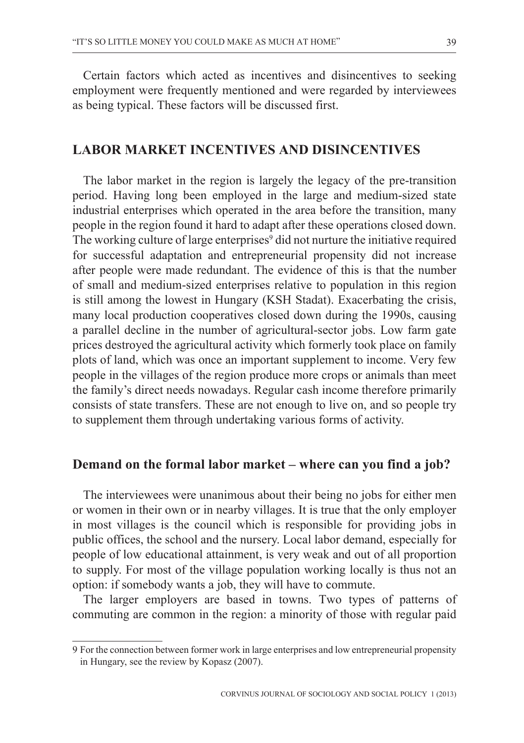Certain factors which acted as incentives and disincentives to seeking employment were frequently mentioned and were regarded by interviewees as being typical. These factors will be discussed first.

### **LABOR MARKET INCENTIVES AND DISINCENTIVES**

The labor market in the region is largely the legacy of the pre-transition period. Having long been employed in the large and medium-sized state industrial enterprises which operated in the area before the transition, many people in the region found it hard to adapt after these operations closed down. The working culture of large enterprises<sup>9</sup> did not nurture the initiative required for successful adaptation and entrepreneurial propensity did not increase after people were made redundant. The evidence of this is that the number of small and medium-sized enterprises relative to population in this region is still among the lowest in Hungary (KSH Stadat). Exacerbating the crisis, many local production cooperatives closed down during the 1990s, causing a parallel decline in the number of agricultural-sector jobs. Low farm gate prices destroyed the agricultural activity which formerly took place on family plots of land, which was once an important supplement to income. Very few people in the villages of the region produce more crops or animals than meet the family's direct needs nowadays. Regular cash income therefore primarily consists of state transfers. These are not enough to live on, and so people try to supplement them through undertaking various forms of activity.

### **Demand on the formal labor market – where can you find a job?**

The interviewees were unanimous about their being no jobs for either men or women in their own or in nearby villages. It is true that the only employer in most villages is the council which is responsible for providing jobs in public offices, the school and the nursery. Local labor demand, especially for people of low educational attainment, is very weak and out of all proportion to supply. For most of the village population working locally is thus not an option: if somebody wants a job, they will have to commute.

The larger employers are based in towns. Two types of patterns of commuting are common in the region: a minority of those with regular paid

<sup>9</sup> For the connection between former work in large enterprises and low entrepreneurial propensity in Hungary, see the review by Kopasz (2007).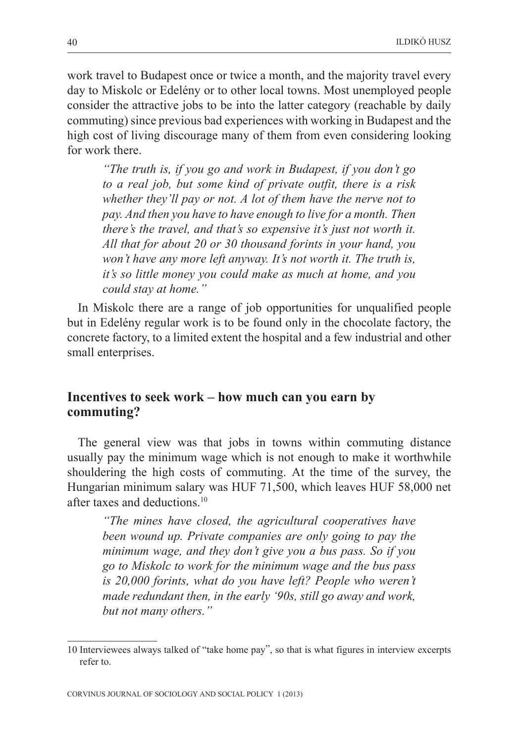work travel to Budapest once or twice a month, and the majority travel every day to Miskolc or Edelény or to other local towns. Most unemployed people consider the attractive jobs to be into the latter category (reachable by daily commuting) since previous bad experiences with working in Budapest and the high cost of living discourage many of them from even considering looking for work there.

*"The truth is, if you go and work in Budapest, if you don't go to a real job, but some kind of private outfit, there is a risk whether they'll pay or not. A lot of them have the nerve not to pay. And then you have to have enough to live for a month. Then there's the travel, and that's so expensive it's just not worth it. All that for about 20 or 30 thousand forints in your hand, you won't have any more left anyway. It's not worth it. The truth is, it's so little money you could make as much at home, and you could stay at home."*

In Miskolc there are a range of job opportunities for unqualified people but in Edelény regular work is to be found only in the chocolate factory, the concrete factory, to a limited extent the hospital and a few industrial and other small enterprises.

#### **Incentives to seek work – how much can you earn by commuting?**

The general view was that jobs in towns within commuting distance usually pay the minimum wage which is not enough to make it worthwhile shouldering the high costs of commuting. At the time of the survey, the Hungarian minimum salary was HUF 71,500, which leaves HUF 58,000 net after taxes and deductions.10

*"The mines have closed, the agricultural cooperatives have been wound up. Private companies are only going to pay the minimum wage, and they don't give you a bus pass. So if you go to Miskolc to work for the minimum wage and the bus pass is 20,000 forints, what do you have left? People who weren't made redundant then, in the early '90s, still go away and work, but not many others."*

<sup>10</sup> Interviewees always talked of "take home pay", so that is what figures in interview excerpts refer to.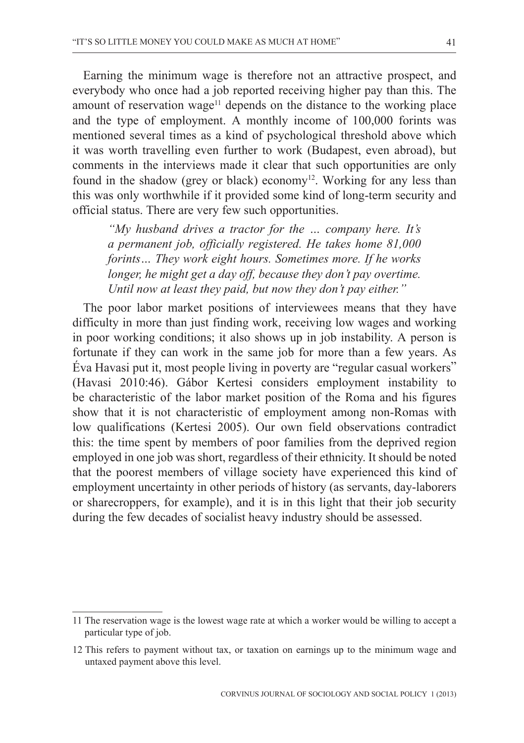Earning the minimum wage is therefore not an attractive prospect, and everybody who once had a job reported receiving higher pay than this. The amount of reservation wage<sup>11</sup> depends on the distance to the working place and the type of employment. A monthly income of 100,000 forints was mentioned several times as a kind of psychological threshold above which it was worth travelling even further to work (Budapest, even abroad), but comments in the interviews made it clear that such opportunities are only found in the shadow (grey or black) economy<sup>12</sup>. Working for any less than this was only worthwhile if it provided some kind of long-term security and official status. There are very few such opportunities.

*"My husband drives a tractor for the … company here. It's a permanent job, officially registered. He takes home 81,000 forints… They work eight hours. Sometimes more. If he works longer, he might get a day off, because they don't pay overtime. Until now at least they paid, but now they don't pay either."* 

The poor labor market positions of interviewees means that they have difficulty in more than just finding work, receiving low wages and working in poor working conditions; it also shows up in job instability. A person is fortunate if they can work in the same job for more than a few years. As Éva Havasi put it, most people living in poverty are "regular casual workers" (Havasi 2010:46). Gábor Kertesi considers employment instability to be characteristic of the labor market position of the Roma and his figures show that it is not characteristic of employment among non-Romas with low qualifications (Kertesi 2005). Our own field observations contradict this: the time spent by members of poor families from the deprived region employed in one job was short, regardless of their ethnicity. It should be noted that the poorest members of village society have experienced this kind of employment uncertainty in other periods of history (as servants, day-laborers or sharecroppers, for example), and it is in this light that their job security during the few decades of socialist heavy industry should be assessed.

<sup>11</sup> The reservation wage is the lowest wage rate at which a worker would be willing to accept a particular type of job.

<sup>12</sup> This refers to payment without tax, or taxation on earnings up to the minimum wage and untaxed payment above this level.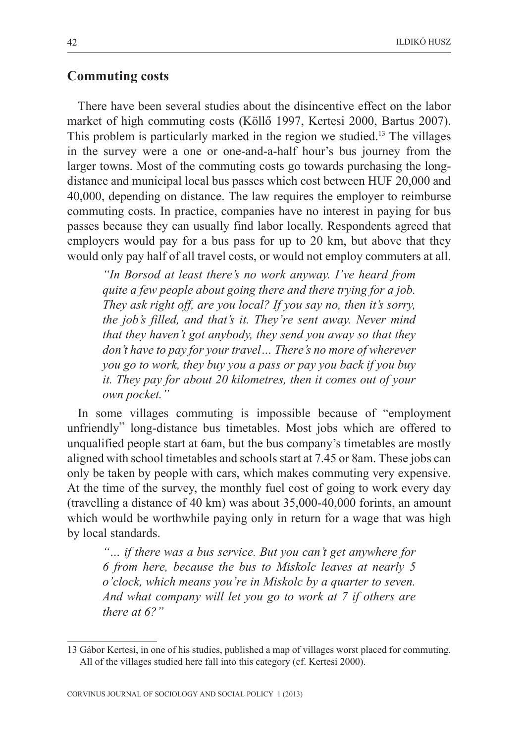#### **Commuting costs**

There have been several studies about the disincentive effect on the labor market of high commuting costs (Köllõ 1997, Kertesi 2000, Bartus 2007). This problem is particularly marked in the region we studied.13 The villages in the survey were a one or one-and-a-half hour's bus journey from the larger towns. Most of the commuting costs go towards purchasing the longdistance and municipal local bus passes which cost between HUF 20,000 and 40,000, depending on distance. The law requires the employer to reimburse commuting costs. In practice, companies have no interest in paying for bus passes because they can usually find labor locally. Respondents agreed that employers would pay for a bus pass for up to 20 km, but above that they would only pay half of all travel costs, or would not employ commuters at all.

*"In Borsod at least there's no work anyway. I've heard from quite a few people about going there and there trying for a job. They ask right off, are you local? If you say no, then it's sorry, the job's filled, and that's it. They're sent away. Never mind that they haven't got anybody, they send you away so that they don't have to pay for your travel… There's no more of wherever you go to work, they buy you a pass or pay you back if you buy it. They pay for about 20 kilometres, then it comes out of your own pocket."*

In some villages commuting is impossible because of "employment unfriendly" long-distance bus timetables. Most jobs which are offered to unqualified people start at 6am, but the bus company's timetables are mostly aligned with school timetables and schools start at 7.45 or 8am. These jobs can only be taken by people with cars, which makes commuting very expensive. At the time of the survey, the monthly fuel cost of going to work every day (travelling a distance of 40 km) was about 35,000-40,000 forints, an amount which would be worthwhile paying only in return for a wage that was high by local standards.

*"… if there was a bus service. But you can't get anywhere for 6 from here, because the bus to Miskolc leaves at nearly 5 o'clock, which means you're in Miskolc by a quarter to seven. And what company will let you go to work at 7 if others are there at 6?"*

<sup>13</sup> Gábor Kertesi, in one of his studies, published a map of villages worst placed for commuting. All of the villages studied here fall into this category (cf. Kertesi 2000).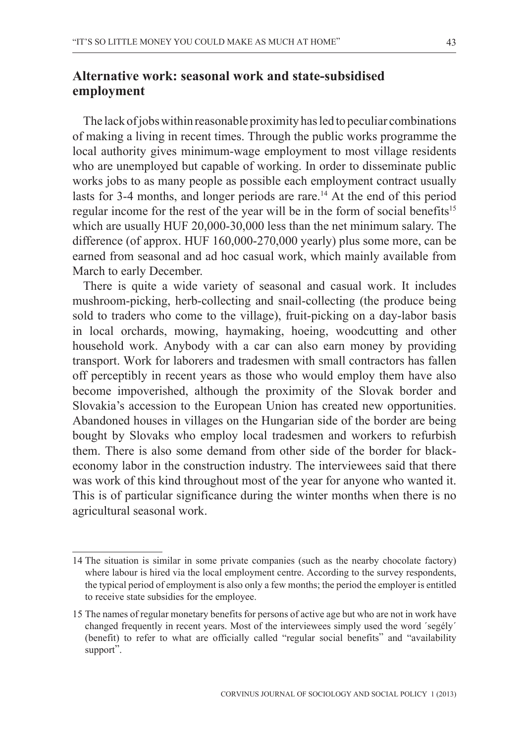# **Alternative work: seasonal work and state-subsidised employment**

The lack of jobs within reasonable proximity has led to peculiar combinations of making a living in recent times. Through the public works programme the local authority gives minimum-wage employment to most village residents who are unemployed but capable of working. In order to disseminate public works jobs to as many people as possible each employment contract usually lasts for 3-4 months, and longer periods are rare.<sup>14</sup> At the end of this period regular income for the rest of the year will be in the form of social benefits<sup>15</sup> which are usually HUF 20,000-30,000 less than the net minimum salary. The difference (of approx. HUF 160,000-270,000 yearly) plus some more, can be earned from seasonal and ad hoc casual work, which mainly available from March to early December.

There is quite a wide variety of seasonal and casual work. It includes mushroom-picking, herb-collecting and snail-collecting (the produce being sold to traders who come to the village), fruit-picking on a day-labor basis in local orchards, mowing, haymaking, hoeing, woodcutting and other household work. Anybody with a car can also earn money by providing transport. Work for laborers and tradesmen with small contractors has fallen off perceptibly in recent years as those who would employ them have also become impoverished, although the proximity of the Slovak border and Slovakia's accession to the European Union has created new opportunities. Abandoned houses in villages on the Hungarian side of the border are being bought by Slovaks who employ local tradesmen and workers to refurbish them. There is also some demand from other side of the border for blackeconomy labor in the construction industry. The interviewees said that there was work of this kind throughout most of the year for anyone who wanted it. This is of particular significance during the winter months when there is no agricultural seasonal work.

<sup>14</sup> The situation is similar in some private companies (such as the nearby chocolate factory) where labour is hired via the local employment centre. According to the survey respondents, the typical period of employment is also only a few months; the period the employer is entitled to receive state subsidies for the employee.

<sup>15</sup> The names of regular monetary benefits for persons of active age but who are not in work have changed frequently in recent years. Most of the interviewees simply used the word 'segély' (benefit) to refer to what are officially called "regular social benefits" and "availability support".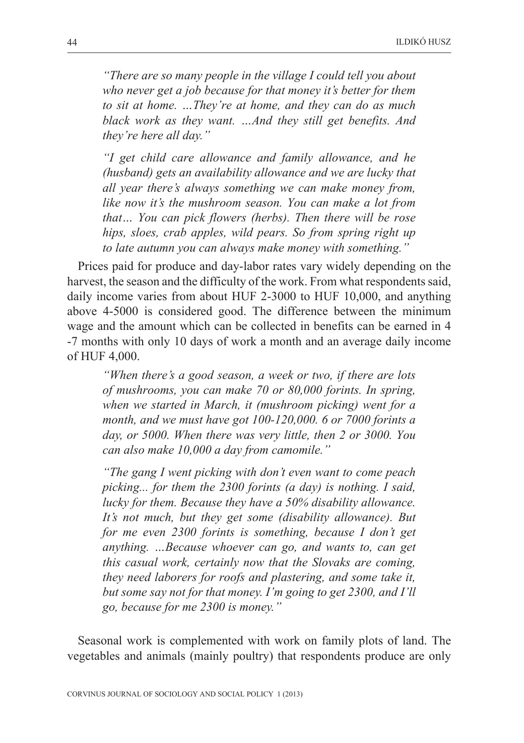*"There are so many people in the village I could tell you about who never get a job because for that money it's better for them to sit at home. …They're at home, and they can do as much black work as they want. …And they still get benefits. And they're here all day."*

*"I get child care allowance and family allowance, and he (husband) gets an availability allowance and we are lucky that all year there's always something we can make money from, like now it's the mushroom season. You can make a lot from that… You can pick flowers (herbs). Then there will be rose hips, sloes, crab apples, wild pears. So from spring right up to late autumn you can always make money with something."*

Prices paid for produce and day-labor rates vary widely depending on the harvest, the season and the difficulty of the work. From what respondents said, daily income varies from about HUF 2-3000 to HUF 10,000, and anything above 4-5000 is considered good. The difference between the minimum wage and the amount which can be collected in benefits can be earned in 4 -7 months with only 10 days of work a month and an average daily income of HUF 4,000.

*"When there's a good season, a week or two, if there are lots of mushrooms, you can make 70 or 80,000 forints. In spring, when we started in March, it (mushroom picking) went for a month, and we must have got 100-120,000. 6 or 7000 forints a day, or 5000. When there was very little, then 2 or 3000. You can also make 10,000 a day from camomile."*

*"The gang I went picking with don't even want to come peach picking... for them the 2300 forints (a day) is nothing. I said, lucky for them. Because they have a 50% disability allowance. It's not much, but they get some (disability allowance). But for me even 2300 forints is something, because I don't get anything. …Because whoever can go, and wants to, can get this casual work, certainly now that the Slovaks are coming, they need laborers for roofs and plastering, and some take it, but some say not for that money. I'm going to get 2300, and I'll go, because for me 2300 is money."*

Seasonal work is complemented with work on family plots of land. The vegetables and animals (mainly poultry) that respondents produce are only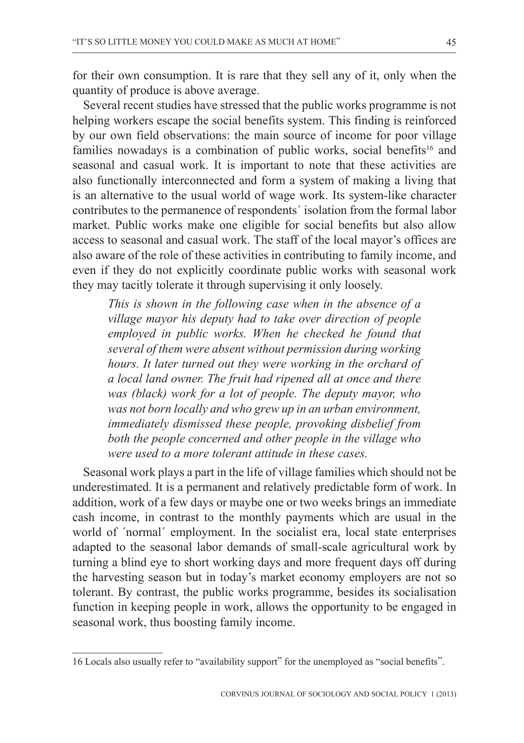for their own consumption. It is rare that they sell any of it, only when the quantity of produce is above average.

Several recent studies have stressed that the public works programme is not helping workers escape the social benefits system. This finding is reinforced by our own field observations: the main source of income for poor village families nowadays is a combination of public works, social benefits<sup>16</sup> and seasonal and casual work. It is important to note that these activities are also functionally interconnected and form a system of making a living that is an alternative to the usual world of wage work. Its system-like character contributes to the permanence of respondents´ isolation from the formal labor market. Public works make one eligible for social benefits but also allow access to seasonal and casual work. The staff of the local mayor's offices are also aware of the role of these activities in contributing to family income, and even if they do not explicitly coordinate public works with seasonal work they may tacitly tolerate it through supervising it only loosely.

*This is shown in the following case when in the absence of a village mayor his deputy had to take over direction of people employed in public works. When he checked he found that several of them were absent without permission during working hours. It later turned out they were working in the orchard of a local land owner. The fruit had ripened all at once and there was (black) work for a lot of people. The deputy mayor, who was not born locally and who grew up in an urban environment, immediately dismissed these people, provoking disbelief from both the people concerned and other people in the village who were used to a more tolerant attitude in these cases.*

Seasonal work plays a part in the life of village families which should not be underestimated. It is a permanent and relatively predictable form of work. In addition, work of a few days or maybe one or two weeks brings an immediate cash income, in contrast to the monthly payments which are usual in the world of ´normal´ employment. In the socialist era, local state enterprises adapted to the seasonal labor demands of small-scale agricultural work by turning a blind eye to short working days and more frequent days off during the harvesting season but in today's market economy employers are not so tolerant. By contrast, the public works programme, besides its socialisation function in keeping people in work, allows the opportunity to be engaged in seasonal work, thus boosting family income.

<sup>16</sup> Locals also usually refer to "availability support" for the unemployed as "social benefits".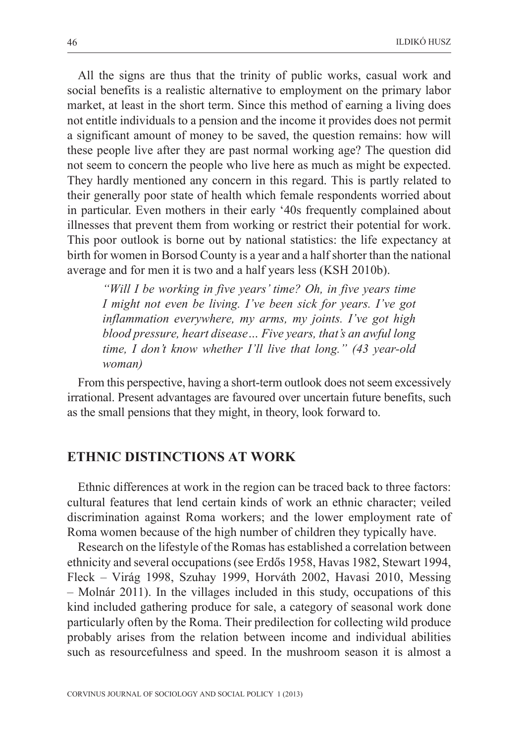All the signs are thus that the trinity of public works, casual work and social benefits is a realistic alternative to employment on the primary labor market, at least in the short term. Since this method of earning a living does not entitle individuals to a pension and the income it provides does not permit a significant amount of money to be saved, the question remains: how will these people live after they are past normal working age? The question did not seem to concern the people who live here as much as might be expected. They hardly mentioned any concern in this regard. This is partly related to their generally poor state of health which female respondents worried about in particular. Even mothers in their early '40s frequently complained about illnesses that prevent them from working or restrict their potential for work. This poor outlook is borne out by national statistics: the life expectancy at birth for women in Borsod County is a year and a half shorter than the national average and for men it is two and a half years less (KSH 2010b).

*"Will I be working in five years' time? Oh, in five years time I might not even be living. I've been sick for years. I've got inflammation everywhere, my arms, my joints. I've got high blood pressure, heart disease… Five years, that's an awful long time, I don't know whether I'll live that long." (43 year-old woman)*

From this perspective, having a short-term outlook does not seem excessively irrational. Present advantages are favoured over uncertain future benefits, such as the small pensions that they might, in theory, look forward to.

#### **ETHNIC DISTINCTIONS AT WORK**

Ethnic differences at work in the region can be traced back to three factors: cultural features that lend certain kinds of work an ethnic character; veiled discrimination against Roma workers; and the lower employment rate of Roma women because of the high number of children they typically have.

Research on the lifestyle of the Romas has established a correlation between ethnicity and several occupations (see Erdõs 1958, Havas 1982, Stewart 1994, Fleck – Virág 1998, Szuhay 1999, Horváth 2002, Havasi 2010, Messing – Molnár 2011). In the villages included in this study, occupations of this kind included gathering produce for sale, a category of seasonal work done particularly often by the Roma. Their predilection for collecting wild produce probably arises from the relation between income and individual abilities such as resourcefulness and speed. In the mushroom season it is almost a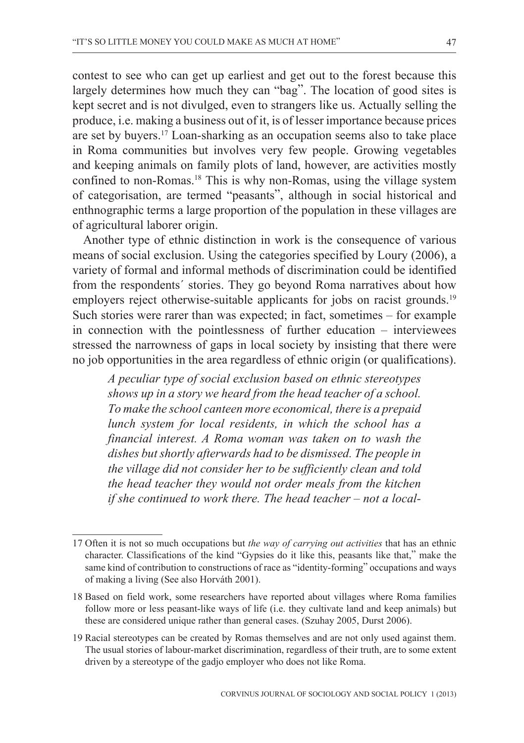contest to see who can get up earliest and get out to the forest because this largely determines how much they can "bag". The location of good sites is kept secret and is not divulged, even to strangers like us. Actually selling the produce, i.e. making a business out of it, is of lesser importance because prices are set by buyers.17 Loan-sharking as an occupation seems also to take place in Roma communities but involves very few people. Growing vegetables and keeping animals on family plots of land, however, are activities mostly confined to non-Romas.<sup>18</sup> This is why non-Romas, using the village system of categorisation, are termed "peasants", although in social historical and enthnographic terms a large proportion of the population in these villages are of agricultural laborer origin.

Another type of ethnic distinction in work is the consequence of various means of social exclusion. Using the categories specified by Loury (2006), a variety of formal and informal methods of discrimination could be identified from the respondents´ stories. They go beyond Roma narratives about how employers reject otherwise-suitable applicants for jobs on racist grounds.<sup>19</sup> Such stories were rarer than was expected; in fact, sometimes – for example in connection with the pointlessness of further education – interviewees stressed the narrowness of gaps in local society by insisting that there were no job opportunities in the area regardless of ethnic origin (or qualifications).

*A peculiar type of social exclusion based on ethnic stereotypes shows up in a story we heard from the head teacher of a school. To make the school canteen more economical, there is a prepaid lunch system for local residents, in which the school has a financial interest. A Roma woman was taken on to wash the dishes but shortly afterwards had to be dismissed. The people in the village did not consider her to be sufficiently clean and told the head teacher they would not order meals from the kitchen if she continued to work there. The head teacher – not a local-*

<sup>17</sup> Often it is not so much occupations but *the way of carrying out activities* that has an ethnic character. Classifications of the kind "Gypsies do it like this, peasants like that," make the same kind of contribution to constructions of race as "identity-forming" occupations and ways of making a living (See also Horváth 2001).

<sup>18</sup> Based on field work, some researchers have reported about villages where Roma families follow more or less peasant-like ways of life (i.e. they cultivate land and keep animals) but these are considered unique rather than general cases. (Szuhay 2005, Durst 2006).

<sup>19</sup> Racial stereotypes can be created by Romas themselves and are not only used against them. The usual stories of labour-market discrimination, regardless of their truth, are to some extent driven by a stereotype of the gadjo employer who does not like Roma.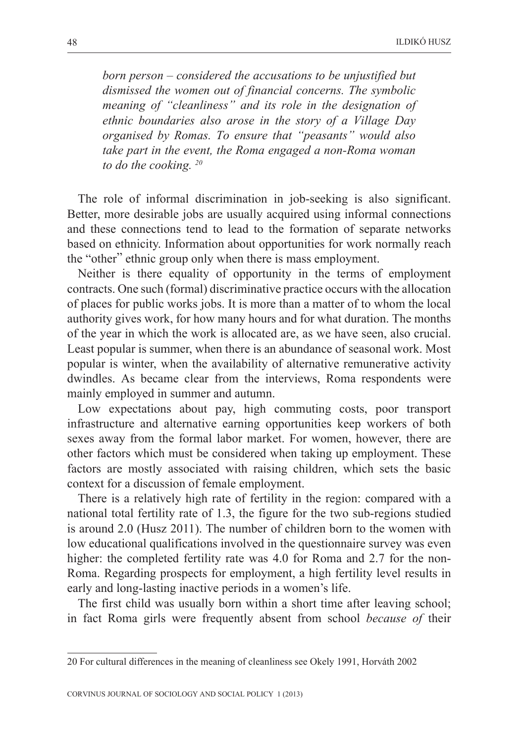*born person – considered the accusations to be unjustified but dismissed the women out of financial concerns. The symbolic meaning of "cleanliness" and its role in the designation of ethnic boundaries also arose in the story of a Village Day organised by Romas. To ensure that "peasants" would also take part in the event, the Roma engaged a non-Roma woman to do the cooking. 20*

The role of informal discrimination in job-seeking is also significant. Better, more desirable jobs are usually acquired using informal connections and these connections tend to lead to the formation of separate networks based on ethnicity. Information about opportunities for work normally reach the "other" ethnic group only when there is mass employment.

Neither is there equality of opportunity in the terms of employment contracts. One such (formal) discriminative practice occurs with the allocation of places for public works jobs. It is more than a matter of to whom the local authority gives work, for how many hours and for what duration. The months of the year in which the work is allocated are, as we have seen, also crucial. Least popular is summer, when there is an abundance of seasonal work. Most popular is winter, when the availability of alternative remunerative activity dwindles. As became clear from the interviews, Roma respondents were mainly employed in summer and autumn.

Low expectations about pay, high commuting costs, poor transport infrastructure and alternative earning opportunities keep workers of both sexes away from the formal labor market. For women, however, there are other factors which must be considered when taking up employment. These factors are mostly associated with raising children, which sets the basic context for a discussion of female employment.

There is a relatively high rate of fertility in the region: compared with a national total fertility rate of 1.3, the figure for the two sub-regions studied is around 2.0 (Husz 2011). The number of children born to the women with low educational qualifications involved in the questionnaire survey was even higher: the completed fertility rate was 4.0 for Roma and 2.7 for the non-Roma. Regarding prospects for employment, a high fertility level results in early and long-lasting inactive periods in a women's life.

The first child was usually born within a short time after leaving school; in fact Roma girls were frequently absent from school *because of* their

<sup>20</sup> For cultural differences in the meaning of cleanliness see Okely 1991, Horváth 2002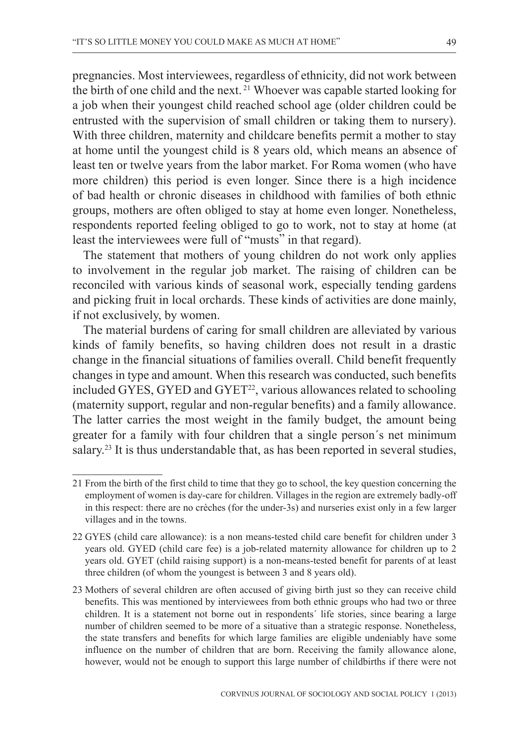pregnancies. Most interviewees, regardless of ethnicity, did not work between the birth of one child and the next.<sup>21</sup> Whoever was capable started looking for a job when their youngest child reached school age (older children could be entrusted with the supervision of small children or taking them to nursery). With three children, maternity and childcare benefits permit a mother to stay at home until the youngest child is 8 years old, which means an absence of least ten or twelve years from the labor market. For Roma women (who have more children) this period is even longer. Since there is a high incidence of bad health or chronic diseases in childhood with families of both ethnic groups, mothers are often obliged to stay at home even longer. Nonetheless, respondents reported feeling obliged to go to work, not to stay at home (at least the interviewees were full of "musts" in that regard).

The statement that mothers of young children do not work only applies to involvement in the regular job market. The raising of children can be reconciled with various kinds of seasonal work, especially tending gardens and picking fruit in local orchards. These kinds of activities are done mainly, if not exclusively, by women.

The material burdens of caring for small children are alleviated by various kinds of family benefits, so having children does not result in a drastic change in the financial situations of families overall. Child benefit frequently changes in type and amount. When this research was conducted, such benefits included GYES, GYED and GYET<sup>22</sup>, various allowances related to schooling (maternity support, regular and non-regular benefits) and a family allowance. The latter carries the most weight in the family budget, the amount being greater for a family with four children that a single person´s net minimum salary.<sup>23</sup> It is thus understandable that, as has been reported in several studies,

<sup>21</sup> From the birth of the first child to time that they go to school, the key question concerning the employment of women is day-care for children. Villages in the region are extremely badly-off in this respect: there are no crèches (for the under-3s) and nurseries exist only in a few larger villages and in the towns.

<sup>22</sup> GYES (child care allowance): is a non means-tested child care benefit for children under 3 years old. GYED (child care fee) is a job-related maternity allowance for children up to 2 years old. GYET (child raising support) is a non-means-tested benefit for parents of at least three children (of whom the youngest is between 3 and 8 years old).

<sup>23</sup> Mothers of several children are often accused of giving birth just so they can receive child benefits. This was mentioned by interviewees from both ethnic groups who had two or three children. It is a statement not borne out in respondents´ life stories, since bearing a large number of children seemed to be more of a situative than a strategic response. Nonetheless, the state transfers and benefits for which large families are eligible undeniably have some influence on the number of children that are born. Receiving the family allowance alone, however, would not be enough to support this large number of childbirths if there were not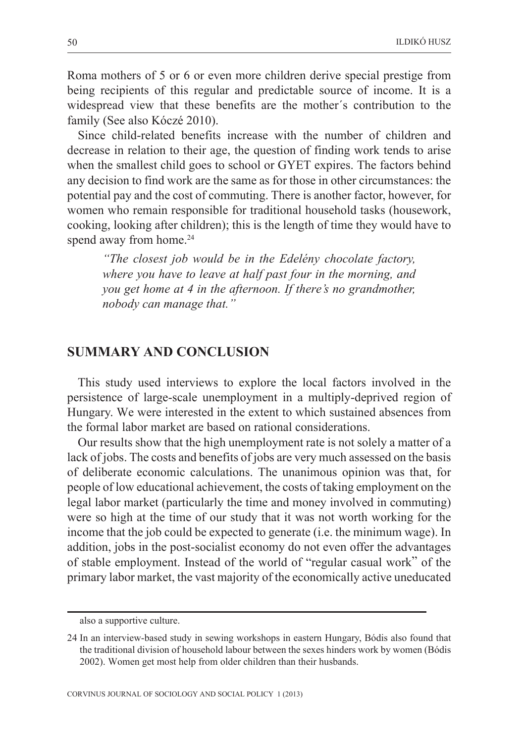Roma mothers of 5 or 6 or even more children derive special prestige from being recipients of this regular and predictable source of income. It is a widespread view that these benefits are the mother´s contribution to the family (See also Kóczé 2010).

Since child-related benefits increase with the number of children and decrease in relation to their age, the question of finding work tends to arise when the smallest child goes to school or GYET expires. The factors behind any decision to find work are the same as for those in other circumstances: the potential pay and the cost of commuting. There is another factor, however, for women who remain responsible for traditional household tasks (housework, cooking, looking after children); this is the length of time they would have to spend away from home.<sup>24</sup>

*"The closest job would be in the Edelény chocolate factory, where you have to leave at half past four in the morning, and you get home at 4 in the afternoon. If there's no grandmother, nobody can manage that."*

#### **SUMMARY AND CONCLUSION**

This study used interviews to explore the local factors involved in the persistence of large-scale unemployment in a multiply-deprived region of Hungary. We were interested in the extent to which sustained absences from the formal labor market are based on rational considerations.

Our results show that the high unemployment rate is not solely a matter of a lack of jobs. The costs and benefits of jobs are very much assessed on the basis of deliberate economic calculations. The unanimous opinion was that, for people of low educational achievement, the costs of taking employment on the legal labor market (particularly the time and money involved in commuting) were so high at the time of our study that it was not worth working for the income that the job could be expected to generate (i.e. the minimum wage). In addition, jobs in the post-socialist economy do not even offer the advantages of stable employment. Instead of the world of "regular casual work" of the primary labor market, the vast majority of the economically active uneducated

also a supportive culture.

<sup>24</sup> In an interview-based study in sewing workshops in eastern Hungary, Bódis also found that the traditional division of household labour between the sexes hinders work by women (Bódis 2002). Women get most help from older children than their husbands.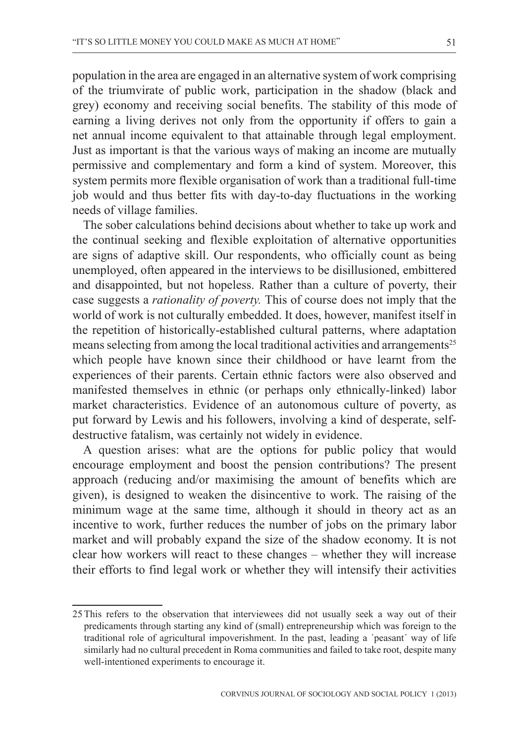population in the area are engaged in an alternative system of work comprising of the triumvirate of public work, participation in the shadow (black and grey) economy and receiving social benefits. The stability of this mode of earning a living derives not only from the opportunity if offers to gain a net annual income equivalent to that attainable through legal employment. Just as important is that the various ways of making an income are mutually permissive and complementary and form a kind of system. Moreover, this system permits more flexible organisation of work than a traditional full-time job would and thus better fits with day-to-day fluctuations in the working needs of village families.

The sober calculations behind decisions about whether to take up work and the continual seeking and flexible exploitation of alternative opportunities are signs of adaptive skill. Our respondents, who officially count as being unemployed, often appeared in the interviews to be disillusioned, embittered and disappointed, but not hopeless. Rather than a culture of poverty, their case suggests a *rationality of poverty.* This of course does not imply that the world of work is not culturally embedded. It does, however, manifest itself in the repetition of historically-established cultural patterns, where adaptation means selecting from among the local traditional activities and arrangements<sup>25</sup> which people have known since their childhood or have learnt from the experiences of their parents. Certain ethnic factors were also observed and manifested themselves in ethnic (or perhaps only ethnically-linked) labor market characteristics. Evidence of an autonomous culture of poverty, as put forward by Lewis and his followers, involving a kind of desperate, selfdestructive fatalism, was certainly not widely in evidence.

A question arises: what are the options for public policy that would encourage employment and boost the pension contributions? The present approach (reducing and/or maximising the amount of benefits which are given), is designed to weaken the disincentive to work. The raising of the minimum wage at the same time, although it should in theory act as an incentive to work, further reduces the number of jobs on the primary labor market and will probably expand the size of the shadow economy. It is not clear how workers will react to these changes – whether they will increase their efforts to find legal work or whether they will intensify their activities

<sup>25</sup>This refers to the observation that interviewees did not usually seek a way out of their predicaments through starting any kind of (small) entrepreneurship which was foreign to the traditional role of agricultural impoverishment. In the past, leading a ´peasant´ way of life similarly had no cultural precedent in Roma communities and failed to take root, despite many well-intentioned experiments to encourage it.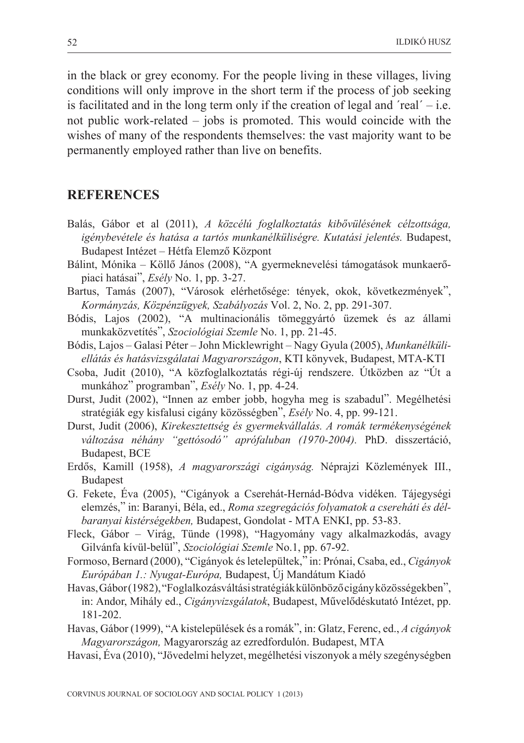in the black or grey economy. For the people living in these villages, living conditions will only improve in the short term if the process of job seeking is facilitated and in the long term only if the creation of legal and  $\text{real}' - \text{i.e.}$ not public work-related – jobs is promoted. This would coincide with the wishes of many of the respondents themselves: the vast majority want to be permanently employed rather than live on benefits.

#### **REFERENCES**

- Balás, Gábor et al (2011), *A közcélú foglalkoztatás kibõvülésének célzottsága, igénybevétele és hatása a tartós munkanélküliségre. Kutatási jelentés.* Budapest, Budapest Intézet – Hétfa Elemzõ Központ
- Bálint, Mónika Köllõ János (2008), "A gyermeknevelési támogatások munkaerõpiaci hatásai", *Esély* No. 1, pp. 3-27.
- Bartus, Tamás (2007), "Városok elérhetõsége: tények, okok, következmények", *Kormányzás, Közpénzügyek, Szabályozás* Vol. 2, No. 2, pp. 291-307.
- Bódis, Lajos (2002), "A multinacionális tömeggyártó üzemek és az állami munkaközvetítés", *Szociológiai Szemle* No. 1, pp. 21-45.
- Bódis, Lajos Galasi Péter John Micklewright Nagy Gyula (2005), *Munkanélküliellátás és hatásvizsgálatai Magyarországon*, KTI könyvek, Budapest, MTA-KTI
- Csoba, Judit (2010), "A közfoglalkoztatás régi-új rendszere. Útközben az "Út a munkához" programban", *Esély* No. 1, pp. 4-24.
- Durst, Judit (2002), "Innen az ember jobb, hogyha meg is szabadul". Megélhetési stratégiák egy kisfalusi cigány közösségben", *Esély* No. 4, pp. 99-121.
- Durst, Judit (2006), *Kirekesztettség és gyermekvállalás. A romák termékenységének változása néhány "gettósodó" aprófaluban (1970-2004).* PhD. disszertáció, Budapest, BCE
- Erdõs, Kamill (1958), *A magyarországi cigányság.* Néprajzi Közlemények III., Budapest
- G. Fekete, Éva (2005), "Cigányok a Cserehát-Hernád-Bódva vidéken. Tájegységi elemzés," in: Baranyi, Béla, ed., *Roma szegregációs folyamatok a csereháti és délbaranyai kistérségekben,* Budapest, Gondolat - MTA ENKI, pp. 53-83.
- Fleck, Gábor Virág, Tünde (1998), "Hagyomány vagy alkalmazkodás, avagy Gilvánfa kívül-belül", *Szociológiai Szemle* No.1, pp. 67-92.
- Formoso, Bernard (2000), "Cigányok és letelepültek," in: Prónai, Csaba, ed., *Cigányok Európában 1.: Nyugat-Európa,* Budapest, Új Mandátum Kiadó
- Havas, Gábor (1982), "Foglalkozásváltási stratégiák különbözõ cigány közösségekben", in: Andor, Mihály ed., *Cigányvizsgálatok*, Budapest, Mûvelõdéskutató Intézet, pp. 181-202.
- Havas, Gábor (1999), "A kistelepülések és a romák", in: Glatz, Ferenc, ed., *A cigányok Magyarországon,* Magyarország az ezredfordulón. Budapest, MTA
- Havasi, Éva (2010), "Jövedelmi helyzet, megélhetési viszonyok a mély szegénységben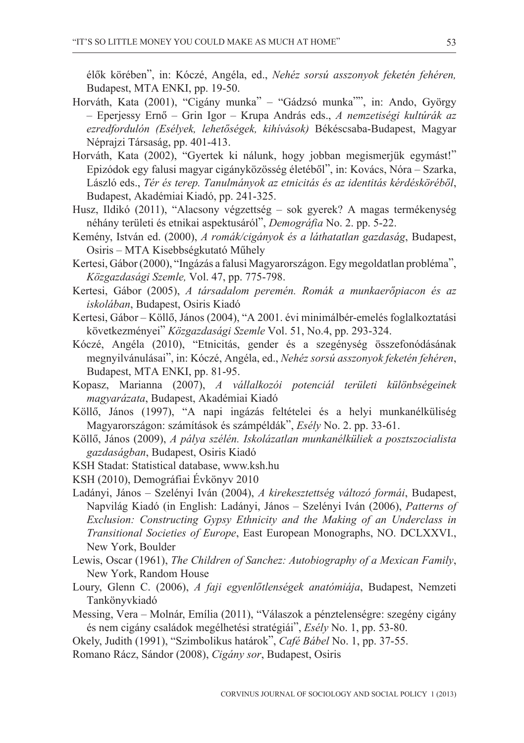élõk körében", in: Kóczé, Angéla, ed., *Nehéz sorsú asszonyok feketén fehéren,* Budapest, MTA ENKI, pp. 19-50.

- Horváth, Kata (2001), "Cigány munka" "Gádzsó munka"", in: Ando, György – Eperjessy Ernõ – Grin Igor – Krupa András eds., *A nemzetiségi kultúrák az ezredfordulón (Esélyek, lehetõségek, kihívások)* Békéscsaba-Budapest, Magyar Néprajzi Társaság, pp. 401-413.
- Horváth, Kata (2002), "Gyertek ki nálunk, hogy jobban megismerjük egymást!" Epizódok egy falusi magyar cigányközösség életébõl", in: Kovács, Nóra – Szarka, László eds., *Tér és terep. Tanulmányok az etnicitás és az identitás kérdéskörébõl*, Budapest, Akadémiai Kiadó, pp. 241-325.
- Husz, Ildikó (2011), "Alacsony végzettség sok gyerek? A magas termékenység néhány területi és etnikai aspektusáról", *Demográfia* No. 2. pp. 5-22.
- Kemény, István ed. (2000), *A romák/cigányok és a láthatatlan gazdaság*, Budapest, Osiris – MTA Kisebbségkutató Mûhely
- Kertesi, Gábor (2000), "Ingázás a falusi Magyarországon. Egy megoldatlan probléma", *Közgazdasági Szemle,* Vol. 47, pp. 775-798.
- Kertesi, Gábor (2005), *A társadalom peremén. Romák a munkaerõpiacon és az iskolában*, Budapest, Osiris Kiadó
- Kertesi, Gábor Köllõ, János (2004), "A 2001. évi minimálbér-emelés foglalkoztatási következményei" *Közgazdasági Szemle* Vol. 51, No.4, pp. 293-324.
- Kóczé, Angéla (2010), "Etnicitás, gender és a szegénység összefonódásának megnyilvánulásai", in: Kóczé, Angéla, ed., *Nehéz sorsú asszonyok feketén fehéren*, Budapest, MTA ENKI, pp. 81-95.
- Kopasz, Marianna (2007), *A vállalkozói potenciál területi különbségeinek magyarázata*, Budapest, Akadémiai Kiadó
- Köllõ, János (1997), "A napi ingázás feltételei és a helyi munkanélküliség Magyarországon: számítások és számpéldák", *Esély* No. 2. pp. 33-61.
- Köllõ, János (2009), *A pálya szélén. Iskolázatlan munkanélküliek a posztszocialista gazdaságban*, Budapest, Osiris Kiadó
- KSH Stadat: Statistical database, www.ksh.hu
- KSH (2010), Demográfiai Évkönyv 2010
- Ladányi, János Szelényi Iván (2004), *A kirekesztettség változó formái*, Budapest, Napvilág Kiadó (in English: Ladányi, János – Szelényi Iván (2006), *Patterns of Exclusion: Constructing Gypsy Ethnicity and the Making of an Underclass in Transitional Societies of Europe*, East European Monographs, NO. DCLXXVI., New York, Boulder
- Lewis, Oscar (1961), *The Children of Sanchez: Autobiography of a Mexican Family*, New York, Random House
- Loury, Glenn C. (2006), *A faji egyenlõtlenségek anatómiája*, Budapest, Nemzeti Tankönyvkiadó
- Messing, Vera Molnár, Emília (2011), "Válaszok a pénztelenségre: szegény cigány és nem cigány családok megélhetési stratégiái", *Esély* No. 1, pp. 53-80.
- Okely, Judith (1991), "Szimbolikus határok", *Café Bábel* No. 1, pp. 37-55.
- Romano Rácz, Sándor (2008), *Cigány sor*, Budapest, Osiris